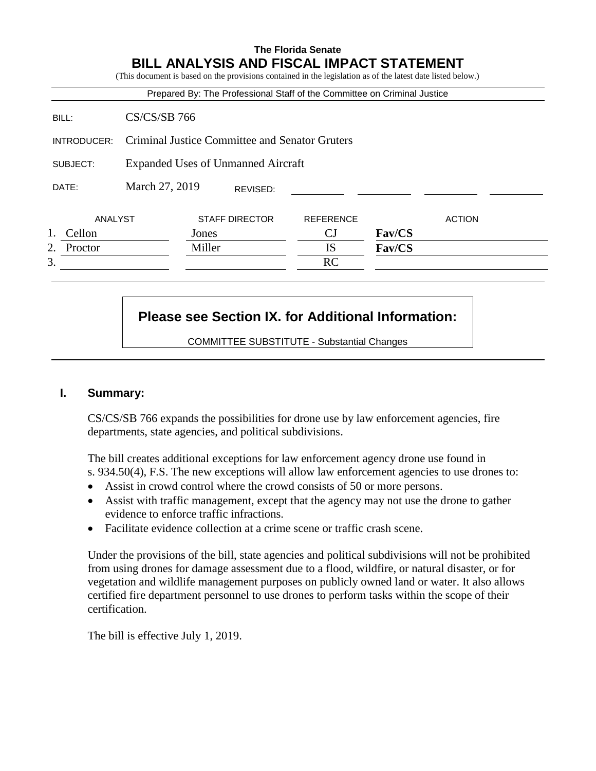# **The Florida Senate BILL ANALYSIS AND FISCAL IMPACT STATEMENT**

| (This document is based on the provisions contained in the legislation as of the latest date listed below.) |                                                |                                              |                              |                           |               |  |  |  |  |
|-------------------------------------------------------------------------------------------------------------|------------------------------------------------|----------------------------------------------|------------------------------|---------------------------|---------------|--|--|--|--|
| Prepared By: The Professional Staff of the Committee on Criminal Justice                                    |                                                |                                              |                              |                           |               |  |  |  |  |
| BILL:                                                                                                       | $CS/CS/SB$ 766                                 |                                              |                              |                           |               |  |  |  |  |
| INTRODUCER:                                                                                                 | Criminal Justice Committee and Senator Gruters |                                              |                              |                           |               |  |  |  |  |
| SUBJECT:                                                                                                    | Expanded Uses of Unmanned Aircraft             |                                              |                              |                           |               |  |  |  |  |
| DATE:                                                                                                       | March 27, 2019                                 | REVISED:                                     |                              |                           |               |  |  |  |  |
| ANALYST<br>C <sub>2</sub> 11 <sub>2</sub>                                                                   |                                                | <b>STAFF DIRECTOR</b><br>$\Gamma$ and $\sim$ | <b>REFERENCE</b><br>$\cap$ T | $E_{\alpha}$ $I$ $\alpha$ | <b>ACTION</b> |  |  |  |  |

| ellon <sup>-</sup><br>         | ones   | ັບ        | Fav/CS |  |
|--------------------------------|--------|-----------|--------|--|
| $\mathcal{L}$<br>Proctor<br>∠. | Miller | TΩ<br>w   | Fav/CS |  |
| ⌒<br>c.                        |        | D C<br>nc |        |  |

# **Please see Section IX. for Additional Information:**

COMMITTEE SUBSTITUTE - Substantial Changes

## **I. Summary:**

CS/CS/SB 766 expands the possibilities for drone use by law enforcement agencies, fire departments, state agencies, and political subdivisions.

The bill creates additional exceptions for law enforcement agency drone use found in s. 934.50(4), F.S. The new exceptions will allow law enforcement agencies to use drones to:

- Assist in crowd control where the crowd consists of 50 or more persons.
- Assist with traffic management, except that the agency may not use the drone to gather evidence to enforce traffic infractions.
- Facilitate evidence collection at a crime scene or traffic crash scene.

Under the provisions of the bill, state agencies and political subdivisions will not be prohibited from using drones for damage assessment due to a flood, wildfire, or natural disaster, or for vegetation and wildlife management purposes on publicly owned land or water. It also allows certified fire department personnel to use drones to perform tasks within the scope of their certification.

The bill is effective July 1, 2019.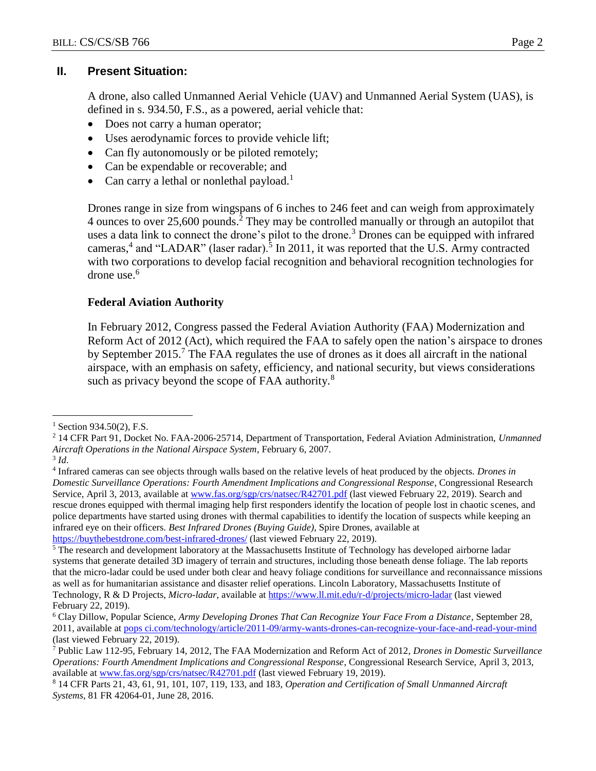## **II. Present Situation:**

A drone, also called Unmanned Aerial Vehicle (UAV) and Unmanned Aerial System (UAS), is defined in s. 934.50, F.S., as a powered, aerial vehicle that:

- Does not carry a human operator;
- Uses aerodynamic forces to provide vehicle lift;
- Can fly autonomously or be piloted remotely;
- Can be expendable or recoverable; and
- Can carry a lethal or nonlethal payload.<sup>1</sup>

Drones range in size from wingspans of 6 inches to 246 feet and can weigh from approximately 4 ounces to over 25,600 pounds.<sup>2</sup> They may be controlled manually or through an autopilot that uses a data link to connect the drone's pilot to the drone.<sup>3</sup> Drones can be equipped with infrared cameras,<sup>4</sup> and "LADAR" (laser radar).<sup>5</sup> In 2011, it was reported that the U.S. Army contracted with two corporations to develop facial recognition and behavioral recognition technologies for drone use.<sup>6</sup>

## **Federal Aviation Authority**

In February 2012, Congress passed the Federal Aviation Authority (FAA) Modernization and Reform Act of 2012 (Act), which required the FAA to safely open the nation's airspace to drones by September 2015.<sup>7</sup> The FAA regulates the use of drones as it does all aircraft in the national airspace, with an emphasis on safety, efficiency, and national security, but views considerations such as privacy beyond the scope of FAA authority.<sup>8</sup>

 $1$  Section 934.50(2), F.S.

<sup>2</sup> 14 CFR Part 91, Docket No. FAA-2006-25714, Department of Transportation, Federal Aviation Administration, *Unmanned Aircraft Operations in the National Airspace System*, February 6, 2007.

<sup>3</sup> *Id*.

<sup>4</sup> Infrared cameras can see objects through walls based on the relative levels of heat produced by the objects. *Drones in Domestic Surveillance Operations: Fourth Amendment Implications and Congressional Response*, Congressional Research Service, April 3, 2013, available at [www.fas.org/sgp/crs/natsec/R42701.pdf](http://www.fas.org/sgp/crs/natsec/R42701.pdf) (last viewed February 22, 2019). Search and rescue drones equipped with thermal imaging help first responders identify the location of people lost in chaotic scenes, and police departments have started using drones with thermal capabilities to identify the location of suspects while keeping an infrared eye on their officers. *Best Infrared Drones (Buying Guide)*, Spire Drones, available at <https://buythebestdrone.com/best-infrared-drones/> (last viewed February 22, 2019).

<sup>&</sup>lt;sup>5</sup> The research and development laboratory at the Massachusetts Institute of Technology has developed airborne ladar systems that generate detailed 3D imagery of terrain and structures, including those beneath dense foliage. The lab reports that the micro-ladar could be used under both clear and heavy foliage conditions for surveillance and reconnaissance missions as well as for humanitarian assistance and disaster relief operations. Lincoln Laboratory, Massachusetts Institute of Technology, R & D Projects, *Micro-ladar*, available at<https://www.ll.mit.edu/r-d/projects/micro-ladar> (last viewed February 22, 2019).

<sup>6</sup> Clay Dillow, Popular Science, *Army Developing Drones That Can Recognize Your Face From a Distance,* September 28, 2011, available at pops [ci.com/technology/article/2011-09/army-wants-drones-can-recognize-your-face-and-read-your-mind](http://www.popsci.com/technology/article/2011-09/army-wants-drones-can-recognize-your-face-and-read-your-mind) (last viewed February 22, 2019).

<sup>7</sup> Public Law 112-95, February 14, 2012, The FAA Modernization and Reform Act of 2012, *Drones in Domestic Surveillance Operations: Fourth Amendment Implications and Congressional Response*, Congressional Research Service, April 3, 2013, available at [www.fas.org/sgp/crs/natsec/R42701.pdf](http://www.fas.org/sgp/crs/natsec/R42701.pdf) (last viewed February 19, 2019).

<sup>8</sup> 14 CFR Parts 21, 43, 61, 91, 101, 107, 119, 133, and 183, *Operation and Certification of Small Unmanned Aircraft Systems*, 81 FR 42064-01, June 28, 2016.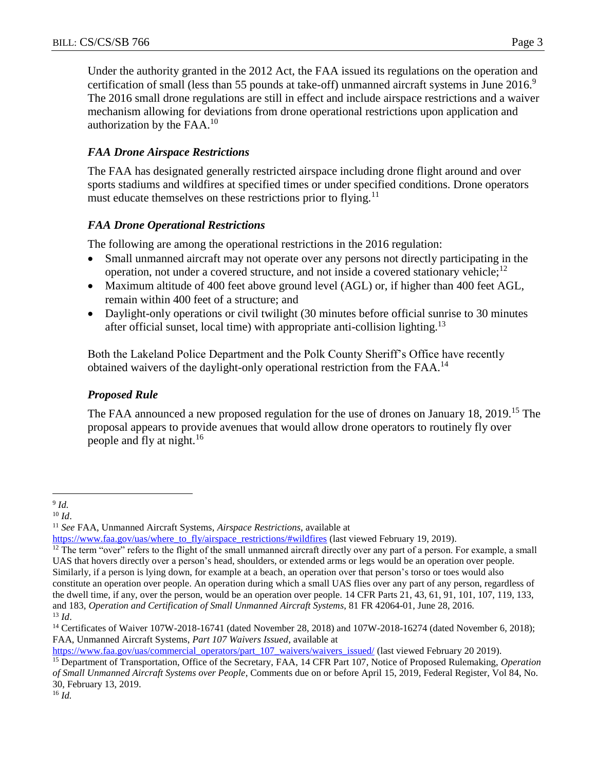Under the authority granted in the 2012 Act, the FAA issued its regulations on the operation and certification of small (less than 55 pounds at take-off) unmanned aircraft systems in June 2016.<sup>9</sup> The 2016 small drone regulations are still in effect and include airspace restrictions and a waiver mechanism allowing for deviations from drone operational restrictions upon application and authorization by the  $FAA<sup>10</sup>$ 

## *FAA Drone Airspace Restrictions*

The FAA has designated generally restricted airspace including drone flight around and over sports stadiums and wildfires at specified times or under specified conditions. Drone operators must educate themselves on these restrictions prior to flying.<sup>11</sup>

# *FAA Drone Operational Restrictions*

The following are among the operational restrictions in the 2016 regulation:

- Small unmanned aircraft may not operate over any persons not directly participating in the operation, not under a covered structure, and not inside a covered stationary vehicle;<sup>12</sup>
- Maximum altitude of 400 feet above ground level (AGL) or, if higher than 400 feet AGL, remain within 400 feet of a structure; and
- Daylight-only operations or civil twilight (30 minutes before official sunrise to 30 minutes after official sunset, local time) with appropriate anti-collision lighting.<sup>13</sup>

Both the Lakeland Police Department and the Polk County Sheriff's Office have recently obtained waivers of the daylight-only operational restriction from the FAA.<sup>14</sup>

# *Proposed Rule*

The FAA announced a new proposed regulation for the use of drones on January 18, 2019.<sup>15</sup> The proposal appears to provide avenues that would allow drone operators to routinely fly over people and fly at night. $16$ 

[https://www.faa.gov/uas/commercial\\_operators/part\\_107\\_waivers/waivers\\_issued/](https://www.faa.gov/uas/commercial_operators/part_107_waivers/waivers_issued/) (last viewed February 20 2019).

 $\overline{a}$ 9 *Id.*

 $10 \, Id.$ 

<sup>11</sup> *See* FAA, Unmanned Aircraft Systems, *Airspace Restrictions,* available at

[https://www.faa.gov/uas/where\\_to\\_fly/airspace\\_restrictions/#wildfires](https://www.faa.gov/uas/where_to_fly/airspace_restrictions/#wildfires) (last viewed February 19, 2019).

 $12$  The term "over" refers to the flight of the small unmanned aircraft directly over any part of a person. For example, a small UAS that hovers directly over a person's head, shoulders, or extended arms or legs would be an operation over people. Similarly, if a person is lying down, for example at a beach, an operation over that person's torso or toes would also constitute an operation over people. An operation during which a small UAS flies over any part of any person, regardless of the dwell time, if any, over the person, would be an operation over people. 14 CFR Parts 21, 43, 61, 91, 101, 107, 119, 133, and 183, *Operation and Certification of Small Unmanned Aircraft Systems*, 81 FR 42064-01, June 28, 2016. <sup>13</sup> *Id*.

<sup>&</sup>lt;sup>14</sup> Certificates of Waiver 107W-2018-16741 (dated November 28, 2018) and 107W-2018-16274 (dated November 6, 2018); FAA, Unmanned Aircraft Systems, *Part 107 Waivers Issued*, available at

<sup>15</sup> Department of Transportation, Office of the Secretary, FAA, 14 CFR Part 107, Notice of Proposed Rulemaking, *Operation of Small Unmanned Aircraft Systems over People*, Comments due on or before April 15, 2019, Federal Register, Vol 84, No. 30, February 13, 2019.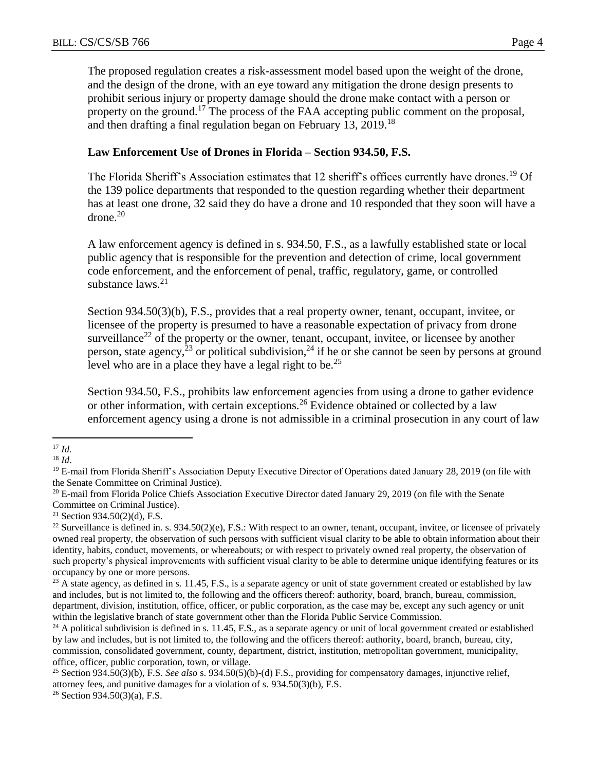The proposed regulation creates a risk-assessment model based upon the weight of the drone, and the design of the drone, with an eye toward any mitigation the drone design presents to prohibit serious injury or property damage should the drone make contact with a person or property on the ground.<sup>17</sup> The process of the FAA accepting public comment on the proposal, and then drafting a final regulation began on February 13, 2019.<sup>18</sup>

#### **Law Enforcement Use of Drones in Florida – Section 934.50, F.S.**

The Florida Sheriff's Association estimates that 12 sheriff's offices currently have drones.<sup>19</sup> Of the 139 police departments that responded to the question regarding whether their department has at least one drone, 32 said they do have a drone and 10 responded that they soon will have a  $d$ rone. $20$ 

A law enforcement agency is defined in s. 934.50, F.S., as a lawfully established state or local public agency that is responsible for the prevention and detection of crime, local government code enforcement, and the enforcement of penal, traffic, regulatory, game, or controlled substance laws. $21$ 

Section 934.50(3)(b), F.S., provides that a real property owner, tenant, occupant, invitee, or licensee of the property is presumed to have a reasonable expectation of privacy from drone surveillance<sup>22</sup> of the property or the owner, tenant, occupant, invitee, or licensee by another person, state agency,  $2^3$  or political subdivision,  $2^4$  if he or she cannot be seen by persons at ground level who are in a place they have a legal right to be.<sup>25</sup>

Section 934.50, F.S., prohibits law enforcement agencies from using a drone to gather evidence or other information, with certain exceptions.<sup>26</sup> Evidence obtained or collected by a law enforcement agency using a drone is not admissible in a criminal prosecution in any court of law

 $\overline{a}$ <sup>17</sup> *Id.*

<sup>18</sup> *Id*.

<sup>&</sup>lt;sup>19</sup> E-mail from Florida Sheriff's Association Deputy Executive Director of Operations dated January 28, 2019 (on file with the Senate Committee on Criminal Justice).

<sup>&</sup>lt;sup>20</sup> E-mail from Florida Police Chiefs Association Executive Director dated January 29, 2019 (on file with the Senate Committee on Criminal Justice).

<sup>&</sup>lt;sup>21</sup> Section 934.50(2)(d), F.S.

<sup>&</sup>lt;sup>22</sup> Surveillance is defined in. s.  $934.50(2)(e)$ , F.S.: With respect to an owner, tenant, occupant, invitee, or licensee of privately owned real property, the observation of such persons with sufficient visual clarity to be able to obtain information about their identity, habits, conduct, movements, or whereabouts; or with respect to privately owned real property, the observation of such property's physical improvements with sufficient visual clarity to be able to determine unique identifying features or its occupancy by one or more persons.

<sup>&</sup>lt;sup>23</sup> A state agency, as defined in s. 11.45, F.S., is a separate agency or unit of state government created or established by law and includes, but is not limited to, the following and the officers thereof: authority, board, branch, bureau, commission, department, division, institution, office, officer, or public corporation, as the case may be, except any such agency or unit within the legislative branch of state government other than the Florida Public Service Commission.

 $^{24}$  A political subdivision is defined in s. 11.45, F.S., as a separate agency or unit of local government created or established by law and includes, but is not limited to, the following and the officers thereof: authority, board, branch, bureau, city, commission, consolidated government, county, department, district, institution, metropolitan government, municipality, office, officer, public corporation, town, or village.

<sup>25</sup> Section 934.50(3)(b), F.S. *See also* s. 934.50(5)(b)-(d) F.S., providing for compensatory damages, injunctive relief, attorney fees, and punitive damages for a violation of s. 934.50(3)(b), F.S.

<sup>26</sup> Section 934.50(3)(a), F.S.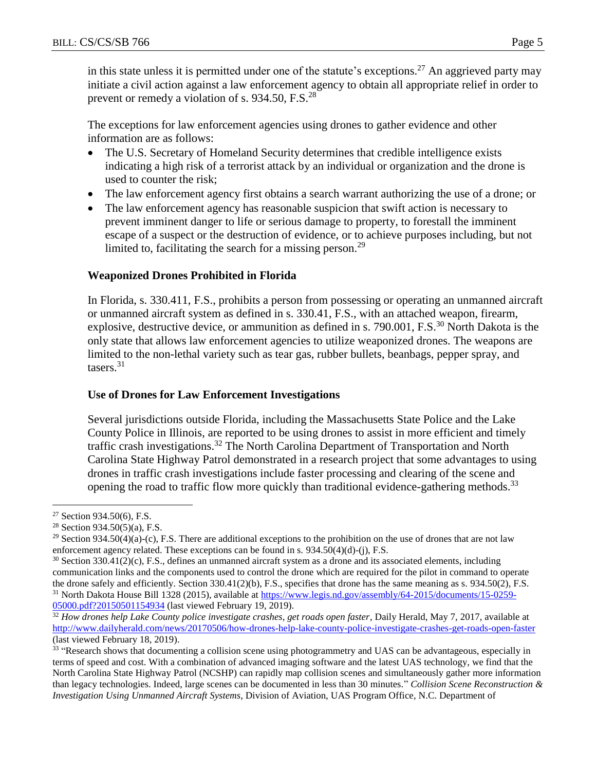in this state unless it is permitted under one of the statute's exceptions.<sup>27</sup> An aggrieved party may initiate a civil action against a law enforcement agency to obtain all appropriate relief in order to prevent or remedy a violation of s. 934.50, F.S.<sup>28</sup>

The exceptions for law enforcement agencies using drones to gather evidence and other information are as follows:

- The U.S. Secretary of Homeland Security determines that credible intelligence exists indicating a high risk of a terrorist attack by an individual or organization and the drone is used to counter the risk;
- The law enforcement agency first obtains a search warrant authorizing the use of a drone; or
- The law enforcement agency has reasonable suspicion that swift action is necessary to prevent imminent danger to life or serious damage to property, to forestall the imminent escape of a suspect or the destruction of evidence, or to achieve purposes including, but not limited to, facilitating the search for a missing person.<sup>29</sup>

## **Weaponized Drones Prohibited in Florida**

In Florida, s. 330.411, F.S., prohibits a person from possessing or operating an unmanned aircraft or unmanned aircraft system as defined in s. 330.41, F.S., with an attached weapon, firearm, explosive, destructive device, or ammunition as defined in s. 790.001, F.S.<sup>30</sup> North Dakota is the only state that allows law enforcement agencies to utilize weaponized drones. The weapons are limited to the non-lethal variety such as tear gas, rubber bullets, beanbags, pepper spray, and tasers. 31

#### **Use of Drones for Law Enforcement Investigations**

Several jurisdictions outside Florida, including the Massachusetts State Police and the Lake County Police in Illinois, are reported to be using drones to assist in more efficient and timely traffic crash investigations.<sup>32</sup> The North Carolina Department of Transportation and North Carolina State Highway Patrol demonstrated in a research project that some advantages to using drones in traffic crash investigations include faster processing and clearing of the scene and opening the road to traffic flow more quickly than traditional evidence-gathering methods.<sup>33</sup>

<sup>27</sup> Section 934.50(6), F.S.

<sup>28</sup> Section 934.50(5)(a), F.S.

<sup>&</sup>lt;sup>29</sup> Section 934.50(4)(a)-(c), F.S. There are additional exceptions to the prohibition on the use of drones that are not law enforcement agency related. These exceptions can be found in s.  $934.50(4)(d)$ -(j), F.S.

 $30$  Section 330.41(2)(c), F.S., defines an unmanned aircraft system as a drone and its associated elements, including communication links and the components used to control the drone which are required for the pilot in command to operate the drone safely and efficiently. Section 330.41(2)(b), F.S., specifies that drone has the same meaning as s. 934.50(2), F.S. <sup>31</sup> North Dakota House Bill 1328 (2015), available at [https://www.legis.nd.gov/assembly/64-2015/documents/15-0259-](https://www.legis.nd.gov/assembly/64-2015/documents/15-0259-05000.pdf?20150501154934) [05000.pdf?20150501154934](https://www.legis.nd.gov/assembly/64-2015/documents/15-0259-05000.pdf?20150501154934) (last viewed February 19, 2019).

<sup>&</sup>lt;sup>32</sup> How drones help Lake County police investigate crashes, get roads open faster, Daily Herald, May 7, 2017, available at <http://www.dailyherald.com/news/20170506/how-drones-help-lake-county-police-investigate-crashes-get-roads-open-faster> (last viewed February 18, 2019).

<sup>&</sup>lt;sup>33</sup> "Research shows that documenting a collision scene using photogrammetry and UAS can be advantageous, especially in terms of speed and cost. With a combination of advanced imaging software and the latest UAS technology, we find that the North Carolina State Highway Patrol (NCSHP) can rapidly map collision scenes and simultaneously gather more information than legacy technologies. Indeed, large scenes can be documented in less than 30 minutes." *Collision Scene Reconstruction & Investigation Using Unmanned Aircraft Systems*, Division of Aviation, UAS Program Office, N.C. Department of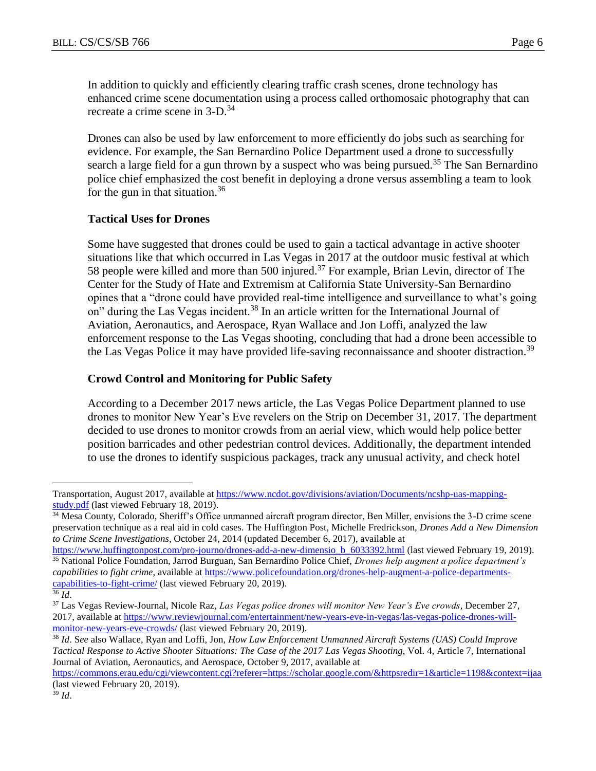In addition to quickly and efficiently clearing traffic crash scenes, drone technology has enhanced crime scene documentation using a process called orthomosaic photography that can recreate a crime scene in 3-D.<sup>34</sup>

Drones can also be used by law enforcement to more efficiently do jobs such as searching for evidence. For example, the San Bernardino Police Department used a drone to successfully search a large field for a gun thrown by a suspect who was being pursued.<sup>35</sup> The San Bernardino police chief emphasized the cost benefit in deploying a drone versus assembling a team to look for the gun in that situation.<sup>36</sup>

# **Tactical Uses for Drones**

Some have suggested that drones could be used to gain a tactical advantage in active shooter situations like that which occurred in Las Vegas in 2017 at the outdoor music festival at which 58 people were killed and more than 500 injured.<sup>37</sup> For example, Brian Levin, director of The Center for the Study of Hate and Extremism at California State University-San Bernardino opines that a "drone could have provided real-time intelligence and surveillance to what's going on" during the Las Vegas incident.<sup>38</sup> In an article written for the International Journal of Aviation, Aeronautics, and Aerospace, Ryan Wallace and Jon Loffi, analyzed the law enforcement response to the Las Vegas shooting, concluding that had a drone been accessible to the Las Vegas Police it may have provided life-saving reconnaissance and shooter distraction.<sup>39</sup>

## **Crowd Control and Monitoring for Public Safety**

According to a December 2017 news article, the Las Vegas Police Department planned to use drones to monitor New Year's Eve revelers on the Strip on December 31, 2017. The department decided to use drones to monitor crowds from an aerial view, which would help police better position barricades and other pedestrian control devices. Additionally, the department intended to use the drones to identify suspicious packages, track any unusual activity, and check hotel

Transportation, August 2017, available at [https://www.ncdot.gov/divisions/aviation/Documents/ncshp-uas-mapping](https://www.ncdot.gov/divisions/aviation/Documents/ncshp-uas-mapping-study.pdf)[study.pdf](https://www.ncdot.gov/divisions/aviation/Documents/ncshp-uas-mapping-study.pdf) (last viewed February 18, 2019).

<sup>&</sup>lt;sup>34</sup> Mesa County, Colorado, Sheriff's Office unmanned aircraft program director, Ben Miller, envisions the 3-D crime scene preservation technique as a real aid in cold cases. The Huffington Post, Michelle Fredrickson, *Drones Add a New Dimension to Crime Scene Investigations*, October 24, 2014 (updated December 6, 2017), available at

[https://www.huffingtonpost.com/pro-journo/drones-add-a-new-dimensio\\_b\\_6033392.html](https://www.huffingtonpost.com/pro-journo/drones-add-a-new-dimensio_b_6033392.html) (last viewed February 19, 2019). <sup>35</sup> National Police Foundation, Jarrod Burguan, San Bernardino Police Chief, *Drones help augment a police department's capabilities to fight crime*, available at [https://www.policefoundation.org/drones-help-augment-a-police-departments](https://www.policefoundation.org/drones-help-augment-a-police-departments-capabilities-to-fight-crime/)[capabilities-to-fight-crime/](https://www.policefoundation.org/drones-help-augment-a-police-departments-capabilities-to-fight-crime/) (last viewed February 20, 2019).

<sup>36</sup> *Id*.

<sup>37</sup> Las Vegas Review-Journal, Nicole Raz, *Las Vegas police drones will monitor New Year's Eve crowds*, December 27, 2017, available at [https://www.reviewjournal.com/entertainment/new-years-eve-in-vegas/las-vegas-police-drones-will](https://www.reviewjournal.com/entertainment/new-years-eve-in-vegas/las-vegas-police-drones-will-monitor-new-years-eve-crowds/)[monitor-new-years-eve-crowds/](https://www.reviewjournal.com/entertainment/new-years-eve-in-vegas/las-vegas-police-drones-will-monitor-new-years-eve-crowds/) (last viewed February 20, 2019).

<sup>38</sup> *Id*. S*ee* also Wallace, Ryan and Loffi, Jon, *How Law Enforcement Unmanned Aircraft Systems (UAS) Could Improve Tactical Response to Active Shooter Situations: The Case of the 2017 Las Vegas Shooting*, Vol. 4, Article 7, International Journal of Aviation, Aeronautics, and Aerospace, October 9, 2017, available at

[https://commons.erau.edu/cgi/viewcontent.cgi?referer=https://scholar.google.com/&httpsredir=1&article=1198&context=ijaa](https://commons.erau.edu/cgi/viewcontent.cgi?referer=https://scholar.google.com/&httpsredir=1&article=1198&context=ijaaa) (last viewed February 20, 2019).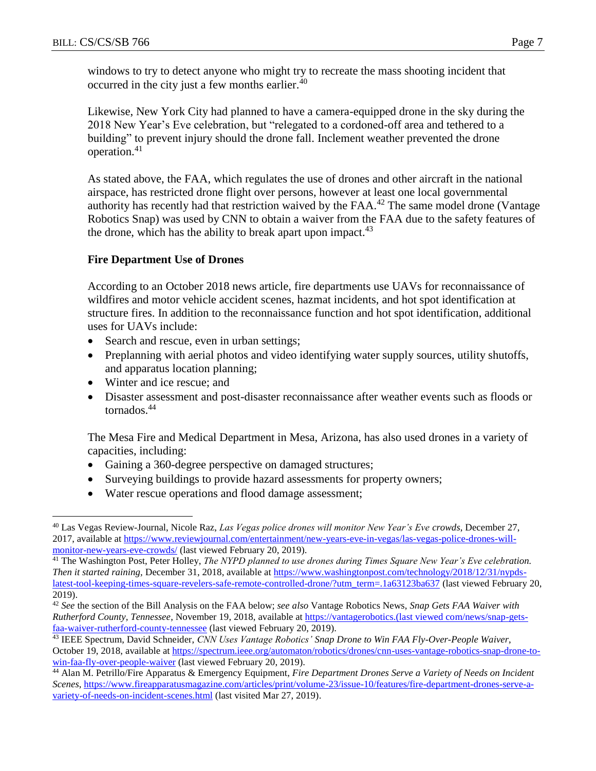windows to try to detect anyone who might try to recreate the mass shooting incident that occurred in the city just a few months earlier.<sup>40</sup>

Likewise, New York City had planned to have a camera-equipped drone in the sky during the 2018 New Year's Eve celebration, but "relegated to a cordoned-off area and tethered to a building" to prevent injury should the drone fall. Inclement weather prevented the drone operation.<sup>41</sup>

As stated above, the FAA, which regulates the use of drones and other aircraft in the national airspace, has restricted drone flight over persons, however at least one local governmental authority has recently had that restriction waived by the  $FAA<sup>42</sup>$  The same model drone (Vantage Robotics Snap) was used by CNN to obtain a waiver from the FAA due to the safety features of the drone, which has the ability to break apart upon impact.<sup>43</sup>

# **Fire Department Use of Drones**

According to an October 2018 news article, fire departments use UAVs for reconnaissance of wildfires and motor vehicle accident scenes, hazmat incidents, and hot spot identification at structure fires. In addition to the reconnaissance function and hot spot identification, additional uses for UAVs include:

- Search and rescue, even in urban settings;
- Preplanning with aerial photos and video identifying water supply sources, utility shutoffs, and apparatus location planning;
- Winter and ice rescue; and

 $\overline{a}$ 

 Disaster assessment and post-disaster reconnaissance after weather events such as floods or tornados.<sup>44</sup>

The Mesa Fire and Medical Department in Mesa, Arizona, has also used drones in a variety of capacities, including:

- Gaining a 360-degree perspective on damaged structures;
- Surveying buildings to provide hazard assessments for property owners;
- Water rescue operations and flood damage assessment;

<sup>40</sup> Las Vegas Review-Journal, Nicole Raz, *Las Vegas police drones will monitor New Year's Eve crowds*, December 27, 2017, available at [https://www.reviewjournal.com/entertainment/new-years-eve-in-vegas/las-vegas-police-drones-will](https://www.reviewjournal.com/entertainment/new-years-eve-in-vegas/las-vegas-police-drones-will-monitor-new-years-eve-crowds/)[monitor-new-years-eve-crowds/](https://www.reviewjournal.com/entertainment/new-years-eve-in-vegas/las-vegas-police-drones-will-monitor-new-years-eve-crowds/) (last viewed February 20, 2019).

<sup>41</sup> The Washington Post, Peter Holley, *The NYPD planned to use drones during Times Square New Year's Eve celebration. Then it started raining,* December 31, 2018, available at [https://www.washingtonpost.com/technology/2018/12/31/nypds](https://www.washingtonpost.com/technology/2018/12/31/nypds-latest-tool-keeping-times-square-revelers-safe-remote-controlled-drone/?utm_term=.1a63123ba637)[latest-tool-keeping-times-square-revelers-safe-remote-controlled-drone/?utm\\_term=.1a63123ba637](https://www.washingtonpost.com/technology/2018/12/31/nypds-latest-tool-keeping-times-square-revelers-safe-remote-controlled-drone/?utm_term=.1a63123ba637) (last viewed February 20, 2019).

<sup>42</sup> *See* the section of the Bill Analysis on the FAA below; *see also* Vantage Robotics News, *Snap Gets FAA Waiver with Rutherford County, Tennessee*, November 19, 2018, available at https://vantagerobotics.(last viewed com/news/snap-getsfaa-waiver-rutherford-county-tennessee (last viewed February 20, 2019).

<sup>43</sup> IEEE Spectrum, David Schneider, *CNN Uses Vantage Robotics' Snap Drone to Win FAA Fly-Over-People Waiver*, October 19, 2018, available at [https://spectrum.ieee.org/automaton/robotics/drones/cnn-uses-vantage-robotics-snap-drone-to](https://spectrum.ieee.org/automaton/robotics/drones/cnn-uses-vantage-robotics-snap-drone-to-win-faa-fly-over-people-waiver)[win-faa-fly-over-people-waiver](https://spectrum.ieee.org/automaton/robotics/drones/cnn-uses-vantage-robotics-snap-drone-to-win-faa-fly-over-people-waiver) (last viewed February 20, 2019).

<sup>44</sup> Alan M. Petrillo/Fire Apparatus & Emergency Equipment, *Fire Department Drones Serve a Variety of Needs on Incident Scenes*, [https://www.fireapparatusmagazine.com/articles/print/volume-23/issue-10/features/fire-department-drones-serve-a](https://www.fireapparatusmagazine.com/articles/print/volume-23/issue-10/features/fire-department-drones-serve-a-variety-of-needs-on-incident-scenes.html)[variety-of-needs-on-incident-scenes.html](https://www.fireapparatusmagazine.com/articles/print/volume-23/issue-10/features/fire-department-drones-serve-a-variety-of-needs-on-incident-scenes.html) (last visited Mar 27, 2019).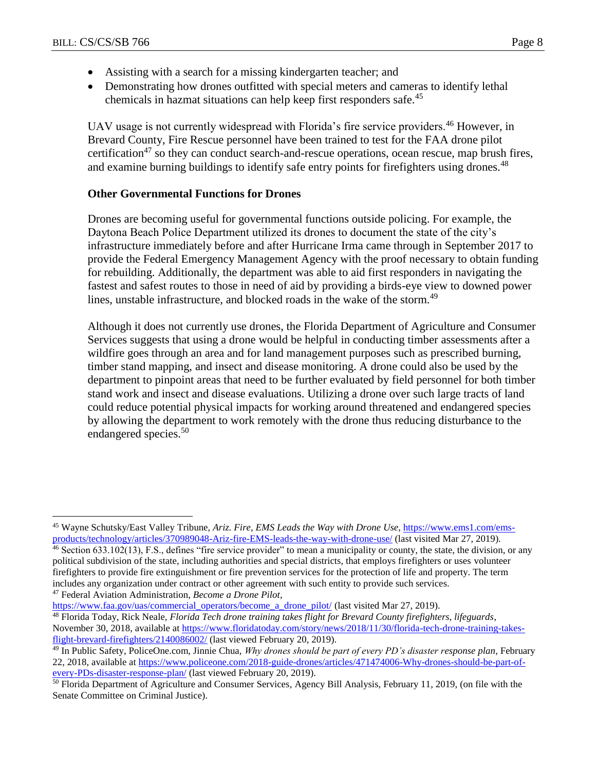$\overline{a}$ 

- Assisting with a search for a missing kindergarten teacher; and
- Demonstrating how drones outfitted with special meters and cameras to identify lethal chemicals in hazmat situations can help keep first responders safe.<sup>45</sup>

UAV usage is not currently widespread with Florida's fire service providers.<sup>46</sup> However, in Brevard County, Fire Rescue personnel have been trained to test for the FAA drone pilot certification<sup>47</sup> so they can conduct search-and-rescue operations, ocean rescue, map brush fires, and examine burning buildings to identify safe entry points for firefighters using drones.<sup>48</sup>

## **Other Governmental Functions for Drones**

Drones are becoming useful for governmental functions outside policing. For example, the Daytona Beach Police Department utilized its drones to document the state of the city's infrastructure immediately before and after Hurricane Irma came through in September 2017 to provide the Federal Emergency Management Agency with the proof necessary to obtain funding for rebuilding. Additionally, the department was able to aid first responders in navigating the fastest and safest routes to those in need of aid by providing a birds-eye view to downed power lines, unstable infrastructure, and blocked roads in the wake of the storm.<sup>49</sup>

Although it does not currently use drones, the Florida Department of Agriculture and Consumer Services suggests that using a drone would be helpful in conducting timber assessments after a wildfire goes through an area and for land management purposes such as prescribed burning, timber stand mapping, and insect and disease monitoring. A drone could also be used by the department to pinpoint areas that need to be further evaluated by field personnel for both timber stand work and insect and disease evaluations. Utilizing a drone over such large tracts of land could reduce potential physical impacts for working around threatened and endangered species by allowing the department to work remotely with the drone thus reducing disturbance to the endangered species.<sup>50</sup>

[https://www.faa.gov/uas/commercial\\_operators/become\\_a\\_drone\\_pilot/](https://www.faa.gov/uas/commercial_operators/become_a_drone_pilot/) (last visited Mar 27, 2019).

- <sup>48</sup> Florida Today, Rick Neale, *Florida Tech drone training takes flight for Brevard County firefighters, lifeguards*, November 30, 2018, available at [https://www.floridatoday.com/story/news/2018/11/30/florida-tech-drone-training-takes](https://www.floridatoday.com/story/news/2018/11/30/florida-tech-drone-training-takes-flight-brevard-firefighters/2140086002/)[flight-brevard-firefighters/2140086002/](https://www.floridatoday.com/story/news/2018/11/30/florida-tech-drone-training-takes-flight-brevard-firefighters/2140086002/) (last viewed February 20, 2019).
- <sup>49</sup> In Public Safety, PoliceOne.com, Jinnie Chua, *Why drones should be part of every PD's disaster response plan*, February 22, 2018, available at [https://www.policeone.com/2018-guide-drones/articles/471474006-Why-drones-should-be-part-of](https://www.policeone.com/2018-guide-drones/articles/471474006-Why-drones-should-be-part-of-every-PDs-disaster-response-plan/)[every-PDs-disaster-response-plan/](https://www.policeone.com/2018-guide-drones/articles/471474006-Why-drones-should-be-part-of-every-PDs-disaster-response-plan/) (last viewed February 20, 2019).

<sup>45</sup> Wayne Schutsky/East Valley Tribune, *Ariz. Fire, EMS Leads the Way with Drone Use*, [https://www.ems1.com/ems](https://www.ems1.com/ems-products/technology/articles/370989048-Ariz-fire-EMS-leads-the-way-with-drone-use/)[products/technology/articles/370989048-Ariz-fire-EMS-leads-the-way-with-drone-use/](https://www.ems1.com/ems-products/technology/articles/370989048-Ariz-fire-EMS-leads-the-way-with-drone-use/) (last visited Mar 27, 2019).

<sup>46</sup> Section 633.102(13), F.S., defines "fire service provider" to mean a municipality or county, the state, the division, or any political subdivision of the state, including authorities and special districts, that employs firefighters or uses volunteer firefighters to provide fire extinguishment or fire prevention services for the protection of life and property. The term includes any organization under contract or other agreement with such entity to provide such services. <sup>47</sup> Federal Aviation Administration, *Become a Drone Pilot*,

<sup>&</sup>lt;sup>50</sup> Florida Department of Agriculture and Consumer Services, Agency Bill Analysis, February 11, 2019, (on file with the Senate Committee on Criminal Justice).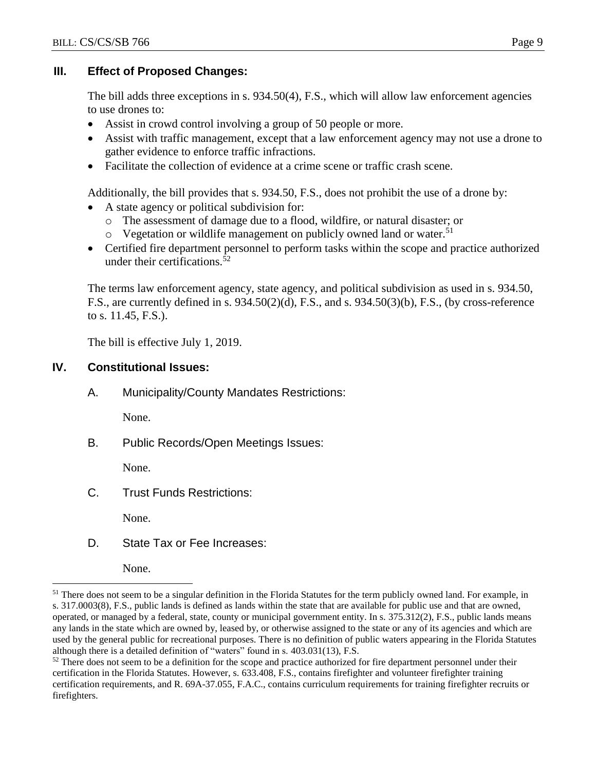## **III. Effect of Proposed Changes:**

The bill adds three exceptions in s. 934.50(4), F.S., which will allow law enforcement agencies to use drones to:

- Assist in crowd control involving a group of 50 people or more.
- Assist with traffic management, except that a law enforcement agency may not use a drone to gather evidence to enforce traffic infractions.
- Facilitate the collection of evidence at a crime scene or traffic crash scene.

Additionally, the bill provides that s. 934.50, F.S., does not prohibit the use of a drone by:

- A state agency or political subdivision for:
	- o The assessment of damage due to a flood, wildfire, or natural disaster; or
	- o Vegetation or wildlife management on publicly owned land or water.<sup>51</sup>
- Certified fire department personnel to perform tasks within the scope and practice authorized under their certifications.<sup>52</sup>

The terms law enforcement agency, state agency, and political subdivision as used in s. 934.50, F.S., are currently defined in s. 934.50(2)(d), F.S., and s. 934.50(3)(b), F.S., (by cross-reference to s. 11.45, F.S.).

The bill is effective July 1, 2019.

# **IV. Constitutional Issues:**

A. Municipality/County Mandates Restrictions:

None.

B. Public Records/Open Meetings Issues:

None.

C. Trust Funds Restrictions:

None.

D. State Tax or Fee Increases:

None.

<sup>&</sup>lt;sup>51</sup> There does not seem to be a singular definition in the Florida Statutes for the term publicly owned land. For example, in s. 317.0003(8), F.S., public lands is defined as lands within the state that are available for public use and that are owned, operated, or managed by a federal, state, county or municipal government entity. In s. 375.312(2), F.S., public lands means any lands in the state which are owned by, leased by, or otherwise assigned to the state or any of its agencies and which are used by the general public for recreational purposes. There is no definition of public waters appearing in the Florida Statutes although there is a detailed definition of "waters" found in s. 403.031(13), F.S.

 $52$  There does not seem to be a definition for the scope and practice authorized for fire department personnel under their certification in the Florida Statutes. However, s. 633.408, F.S., contains firefighter and volunteer firefighter training certification requirements, and R. 69A-37.055, F.A.C., contains curriculum requirements for training firefighter recruits or firefighters.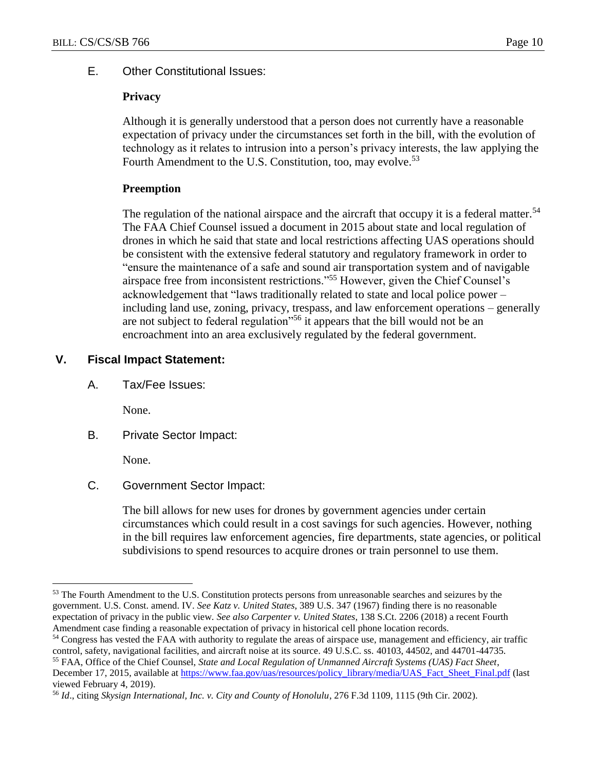## E. Other Constitutional Issues:

#### **Privacy**

Although it is generally understood that a person does not currently have a reasonable expectation of privacy under the circumstances set forth in the bill, with the evolution of technology as it relates to intrusion into a person's privacy interests, the law applying the Fourth Amendment to the U.S. Constitution, too, may evolve.<sup>53</sup>

#### **Preemption**

The regulation of the national airspace and the aircraft that occupy it is a federal matter.<sup>54</sup> The FAA Chief Counsel issued a document in 2015 about state and local regulation of drones in which he said that state and local restrictions affecting UAS operations should be consistent with the extensive federal statutory and regulatory framework in order to "ensure the maintenance of a safe and sound air transportation system and of navigable airspace free from inconsistent restrictions."<sup>55</sup> However, given the Chief Counsel's acknowledgement that "laws traditionally related to state and local police power – including land use, zoning, privacy, trespass, and law enforcement operations – generally are not subject to federal regulation<sup>556</sup> it appears that the bill would not be an encroachment into an area exclusively regulated by the federal government.

## **V. Fiscal Impact Statement:**

A. Tax/Fee Issues:

None.

B. Private Sector Impact:

None.

 $\overline{a}$ 

C. Government Sector Impact:

The bill allows for new uses for drones by government agencies under certain circumstances which could result in a cost savings for such agencies. However, nothing in the bill requires law enforcement agencies, fire departments, state agencies, or political subdivisions to spend resources to acquire drones or train personnel to use them.

<sup>&</sup>lt;sup>53</sup> The Fourth Amendment to the U.S. Constitution protects persons from unreasonable searches and seizures by the government. U.S. Const. amend. IV. *See Katz v. United States*, 389 U.S. 347 (1967) finding there is no reasonable expectation of privacy in the public view. *See also Carpenter v. United States*, 138 S.Ct. 2206 (2018) a recent Fourth Amendment case finding a reasonable expectation of privacy in historical cell phone location records.

<sup>54</sup> Congress has vested the FAA with authority to regulate the areas of airspace use, management and efficiency, air traffic control, safety, navigational facilities, and aircraft noise at its source. 49 U.S.C. ss. 40103, 44502, and 44701-44735. <sup>55</sup> FAA, Office of the Chief Counsel, *State and Local Regulation of Unmanned Aircraft Systems (UAS) Fact Sheet*,

December 17, 2015, available at [https://www.faa.gov/uas/resources/policy\\_library/media/UAS\\_Fact\\_Sheet\\_Final.pdf](https://www.faa.gov/uas/resources/policy_library/media/UAS_Fact_Sheet_Final.pdf) (last viewed February 4, 2019).

<sup>56</sup> *Id*., citing *Skysign International, Inc. v. City and County of Honolulu*, 276 F.3d 1109, 1115 (9th Cir. 2002).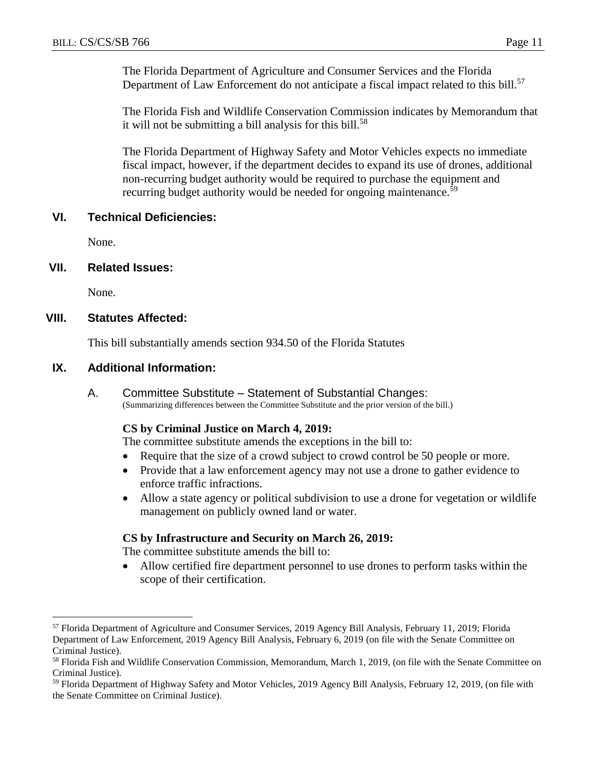The Florida Department of Agriculture and Consumer Services and the Florida Department of Law Enforcement do not anticipate a fiscal impact related to this bill.<sup>57</sup>

The Florida Fish and Wildlife Conservation Commission indicates by Memorandum that it will not be submitting a bill analysis for this bill.<sup>58</sup>

The Florida Department of Highway Safety and Motor Vehicles expects no immediate fiscal impact, however, if the department decides to expand its use of drones, additional non-recurring budget authority would be required to purchase the equipment and recurring budget authority would be needed for ongoing maintenance. $\bar{5}9$ 

#### **VI. Technical Deficiencies:**

None.

#### **VII. Related Issues:**

None.

 $\overline{a}$ 

## **VIII. Statutes Affected:**

This bill substantially amends section 934.50 of the Florida Statutes

## **IX. Additional Information:**

A. Committee Substitute – Statement of Substantial Changes: (Summarizing differences between the Committee Substitute and the prior version of the bill.)

#### **CS by Criminal Justice on March 4, 2019:**

The committee substitute amends the exceptions in the bill to:

- Require that the size of a crowd subject to crowd control be 50 people or more.
- Provide that a law enforcement agency may not use a drone to gather evidence to enforce traffic infractions.
- Allow a state agency or political subdivision to use a drone for vegetation or wildlife management on publicly owned land or water.

#### **CS by Infrastructure and Security on March 26, 2019:**

The committee substitute amends the bill to:

 Allow certified fire department personnel to use drones to perform tasks within the scope of their certification.

<sup>57</sup> Florida Department of Agriculture and Consumer Services, 2019 Agency Bill Analysis, February 11, 2019; Florida Department of Law Enforcement, 2019 Agency Bill Analysis, February 6, 2019 (on file with the Senate Committee on Criminal Justice).

<sup>&</sup>lt;sup>58</sup> Florida Fish and Wildlife Conservation Commission, Memorandum, March 1, 2019, (on file with the Senate Committee on Criminal Justice).

<sup>59</sup> Florida Department of Highway Safety and Motor Vehicles, 2019 Agency Bill Analysis, February 12, 2019, (on file with the Senate Committee on Criminal Justice).